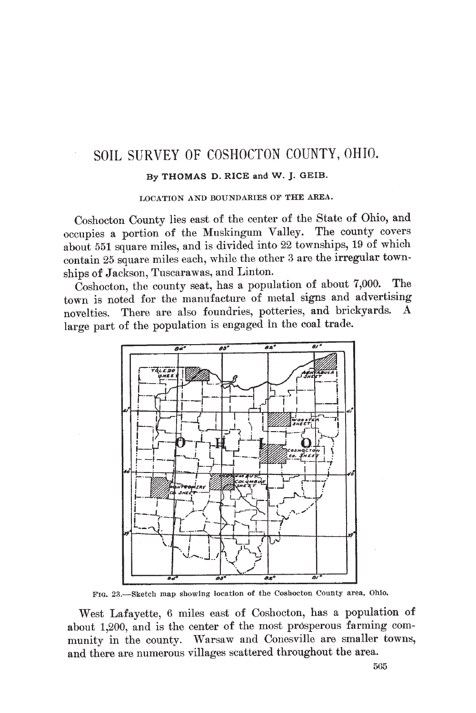## SOIL SURVEY OF COSHOCTON COUNTY, OHIO.

#### By THOMAS D. RICE and W. J. GEIB.

LOCATION AND BOUNDARIES OF THE AREA.

Coshocton County lies east of the center of the State of Ohio, and occupies a portion of the Muskingum Valley. The county covers about 551 square miles, and is divided into 22 townships, 19 of which contain 25 square miles each, while the other 3 are the irregular townships of Jackson, Tuscarawas, and Linton.

Coshocton, the county seat, has a population of about 7,000. **The** town is noted for the manufacture of metal signs and advertising There are also foundries, potteries, and brickyards. A novelties. large part of the population is engaged in the coal trade.



FIG. 23.-Sketch map showing location of the Coshocton County area, Ohio.

West Lafayette, 6 miles east of Coshocton, has a population of about 1,200, and is the center of the most prosperous farming community in the county. Warsaw and Conesville are smaller towns, and there are numerous villages scattered throughout the area.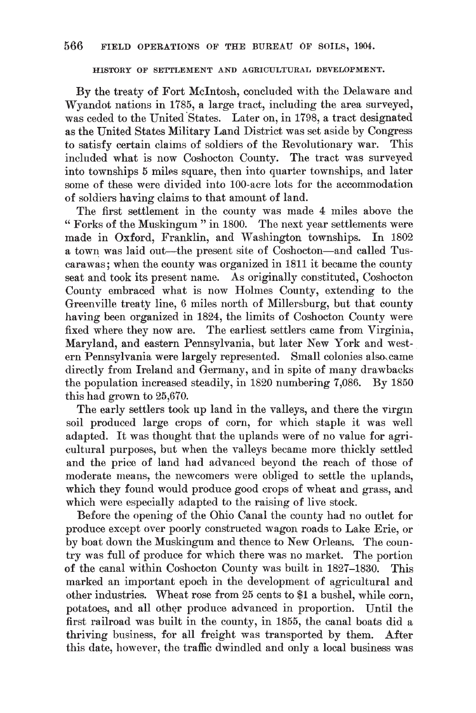HISTORY OF SETTLEMENT AND AGRICULTURAL DEVELOPMENT.

By the treaty of Fort McIntosh, concluded with the Delaware and Wyandot nations in 1785, a large tract, including the area surveyed, was ceded to the United States. Later on, in 1798, a tract designated as the United States Military Land District was set aside by Congress to satisfy certain claims of soldiers of the Revolutionary war. This included what is now Coshocton County. The tract was surveyed into townships 5 miles square, then into quarter townships, and later some of these were divided into 100-acre lots for the accommodation of soldiers having claims to that amount of land.

The first settlement in the county was made 4 miles above the " Forks of the Muskingum" in 1800. The next year settlements were made in Oxford, Franklin, and Washington townships. In 1802 a town was laid out—the present site of Coshocton—and called Tuscarawas; when the county was organized in 1811 it became the county seat and took its present name. As originally constituted, Coshocton County embraced what is now Holmes County, extending to the Greenville treaty line, 6 miles north of Millersburg, but that county having been organized in 1824, the limits of Coshocton County were fixed where they now are. The earliest settlers came from Virginia, Maryland, and eastern Pennsylvania, but later New York and western Pennsylvania were largely represented. Small colonies also came directly from Ireland and Germany, and in spite of many drawbacks the population increased steadily, in 1820 numbering 7,086. By 1850 this had grown to 25,670.

The early settlers took up land in the valleys, and there the virgin soil produced large crops of corn, for which staple it was well adapted. It was thought that the uplands were of no value for agricultural purposes, but when the valleys became more thickly settled and the price of land had advanced beyond the reach of those of moderate means, the newcomers were obliged to settle the uplands, which they found would produce good crops of wheat and grass, and which were especially adapted to the raising of live stock.

Before the opening of the Ohio Canal the county had no outlet for produce except over poorly constructed wagon roads to Lake Erie, or by boat down the Muskingum and thence to New Orleans. The country was full of produce for which there was no market. The portion of the canal within Coshocton County was built in 1827-1830. This marked an important epoch in the development of agricultural and other industries. Wheat rose from 25 cents to \$1 a bushel, while corn, potatoes, and all other produce advanced in proportion. Until the first railroad was built in the county, in 1855, the canal boats did a thriving business, for all freight was transported by them. After this date, however, the traffic dwindled and only a local business was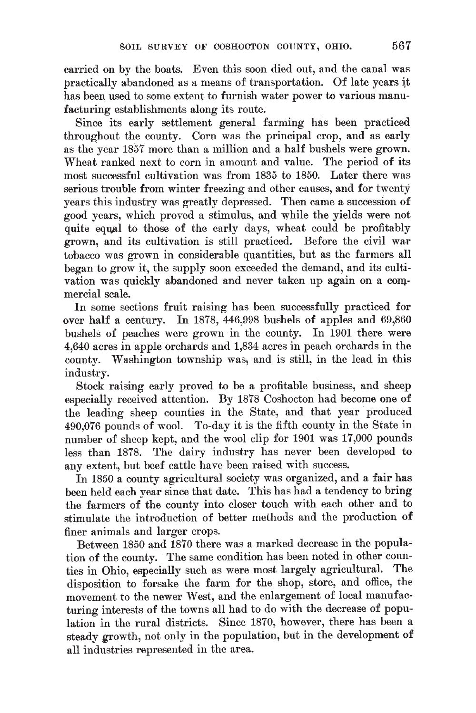carried on by the boats. Even this soon died out, and the canal was practically abandoned as a means of transportation. Of late years it has been used to some extent to furnish water power to various manufacturing establishments along its route.

Since its early settlement general farming has been practiced throughout the county. Corn was the principal crop, and as early as the year 1857 more than a million and a half bushels were grown. Wheat ranked next to corn in amount and value. The period of its most successful cultivation was from 1835 to 1850. Later there was serious trouble from winter freezing and other causes, and for twenty years this industry was greatly depressed. Then came a succession of good years, which proved a stimulus, and while the yields were not quite equal to those of the early days, wheat could be profitably grown, and its cultivation is still practiced. Before the civil war tobacco was grown in considerable quantities, but as the farmers all began to grow it, the supply soon exceeded the demand, and its cultivation was quickly abandoned and never taken up again on a commercial scale.

In some sections fruit raising has been successfully practiced for over half a century. In 1878, 446,998 bushels of apples and 69,860 bushels of peaches were grown in the county. In 1901 there were 4,640 acres in apple orchards and 1,834 acres in peach orchards in the county. Washington township was, and is still, in the lead in this industry.

Stock raising early proved to be a profitable business, and sheep especially received attention. By 1878 Coshocton had become one of the leading sheep counties in the State, and that year produced 490,076 pounds of wool. To-day it is the fifth county in the State in number of sheep kept, and the wool clip for 1901 was 17,000 pounds less than 1878. The dairy industry has never been developed to any extent, but beef cattle have been raised with success.

In 1850 a county agricultural society was organized, and a fair has been held each year since that date. This has had a tendency to bring the farmers of the county into closer touch with each other and to stimulate the introduction of better methods and the production of finer animals and larger crops.

Between 1850 and 1870 there was a marked decrease in the population of the county. The same condition has been noted in other counties in Ohio, especially such as were most largely agricultural. The disposition to forsake the farm for the shop, store, and office, the movement to the newer West, and the enlargement of local manufacturing interests of the towns all had to do with the decrease of population in the rural districts. Since 1870, however, there has been a steady growth, not only in the population, but in the development of all industries represented in the area.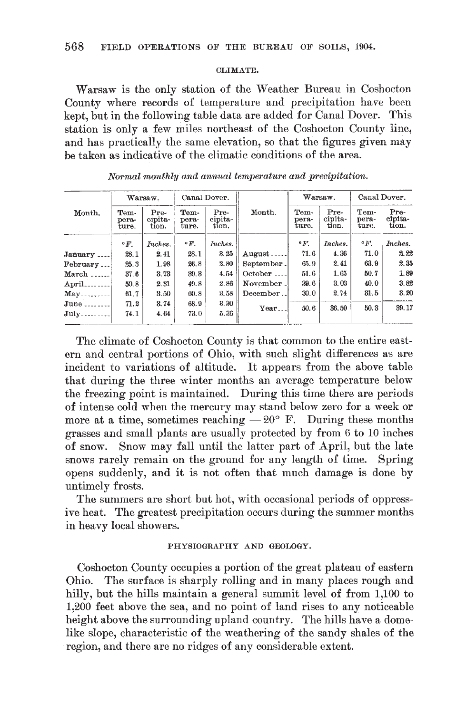#### CLIMATE.

Warsaw is the only station of the Weather Bureau in Coshocton County where records of temperature and precipitation have been kept, but in the following table data are added for Canal Dover. This station is only a few miles northeast of the Coshocton County line, and has practically the same elevation, so that the figures given may be taken as indicative of the climatic conditions of the area.

|               | Warsaw.                |                          | Canal Dover.           |                          |            |                        | Warsaw.                  | Canal Dover.           |                          |  |
|---------------|------------------------|--------------------------|------------------------|--------------------------|------------|------------------------|--------------------------|------------------------|--------------------------|--|
| Month.        | Tem-<br>pera-<br>ture. | Pre-<br>cipita-<br>tion. | Tem-<br>pera-<br>ture. | Pre-<br>cipita-<br>tion. | Month.     | Tem-<br>pera-<br>ture. | Pre-<br>cipita-<br>tion. | Tem-<br>pera-<br>ture. | Pre-<br>cipita-<br>tion. |  |
|               | $\circ$ F.             | Inches.                  | $\circ$ F.             | Inches.                  |            | $\cdot$ F.             | Inches.                  | $\cdot$ F.             | Inches.                  |  |
| January       | 28.1                   | 2.41                     | 28.1                   | 3.25                     | $August$   | 71.6                   | 4.36                     | 71.0                   | 2.22                     |  |
| February      | 25.3                   | 1.98                     | 26.8                   | 2.80                     | September. | 65.9                   | 2.41                     | 63.9                   | 2.35                     |  |
| March.        | 37.6                   | 3.73                     | 39.3                   | 4.54                     | October    | 51.6                   | 1.65                     | 50.7                   | 1.89                     |  |
| April.        | 50.8                   | 2.31                     | 49.8                   | 2.86                     | November.  | 39.6                   | 3.03                     | 40.0                   | 3.82                     |  |
| May.          | 61.7                   | 3.50                     | 60.8                   | 3.58                     | December   | 30.0                   | 2.74                     | 31.5                   | 3.20                     |  |
| $June \ldots$ | 71.2                   | 3.74                     | 68.9                   | 3.30                     | Year       | 50.6                   | 36.50                    | 50.3                   | 39.17                    |  |
| July          | 74.1                   | 4.64                     | 73.0                   | 5.36                     |            |                        |                          |                        |                          |  |

Normal monthly and annual temperature and precipitation.

The climate of Coshocton County is that common to the entire eastern and central portions of Ohio, with such slight differences as are incident to variations of altitude. It appears from the above table that during the three winter months an average temperature below the freezing point is maintained. During this time there are periods of intense cold when the mercury may stand below zero for a week or more at a time, sometimes reaching  $-20^{\circ}$  F. During these months grasses and small plants are usually protected by from 6 to 10 inches of snow. Snow may fall until the latter part of April, but the late snows rarely remain on the ground for any length of time. Spring opens suddenly, and it is not often that much damage is done by untimely frosts.

The summers are short but hot, with occasional periods of oppressive heat. The greatest precipitation occurs during the summer months in heavy local showers.

### PHYSIOGRAPHY AND GEOLOGY.

Coshocton County occupies a portion of the great plateau of eastern Ohio. The surface is sharply rolling and in many places rough and hilly, but the hills maintain a general summit level of from 1,100 to 1,200 feet above the sea, and no point of land rises to any noticeable height above the surrounding upland country. The hills have a domelike slope, characteristic of the weathering of the sandy shales of the region, and there are no ridges of any considerable extent.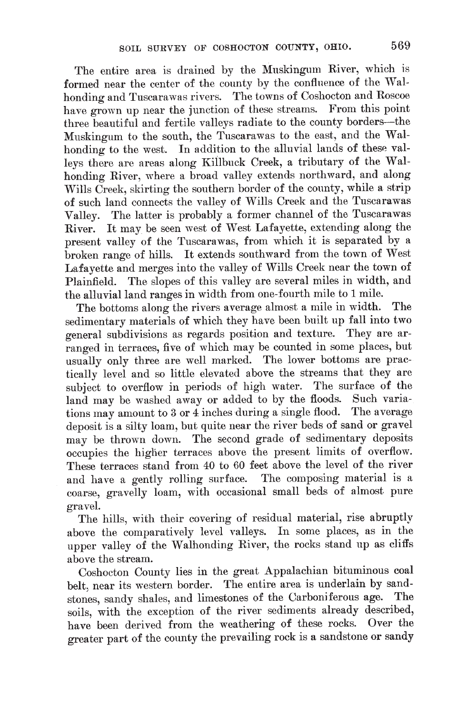The entire area is drained by the Muskingum River, which is formed near the center of the county by the confluence of the Walhonding and Tuscarawas rivers. The towns of Coshocton and Roscoe have grown up near the junction of these streams. From this point three beautiful and fertile valleys radiate to the county borders-the Muskingum to the south, the Tuscarawas to the east, and the Walhonding to the west. In addition to the alluvial lands of these valleys there are areas along Killbuck Creek, a tributary of the Walhonding River, where a broad valley extends northward, and along Wills Creek, skirting the southern border of the county, while a strip of such land connects the valley of Wills Creek and the Tuscarawas Valley. The latter is probably a former channel of the Tuscarawas River. It may be seen west of West Lafayette, extending along the present valley of the Tuscarawas, from which it is separated by a broken range of hills. It extends southward from the town of West Lafavette and merges into the valley of Wills Creek near the town of Plainfield. The slopes of this valley are several miles in width, and the alluvial land ranges in width from one-fourth mile to 1 mile.

The bottoms along the rivers average almost a mile in width. The sedimentary materials of which they have been built up fall into two general subdivisions as regards position and texture. They are arranged in terraces, five of which may be counted in some places, but usually only three are well marked. The lower bottoms are practically level and so little elevated above the streams that they are subject to overflow in periods of high water. The surface of the land may be washed away or added to by the floods. Such variations may amount to 3 or 4 inches during a single flood. The average deposit is a silty loam, but quite near the river beds of sand or gravel may be thrown down. The second grade of sedimentary deposits occupies the higher terraces above the present limits of overflow. These terraces stand from 40 to 60 feet above the level of the river The composing material is a and have a gently rolling surface. coarse, gravelly loam, with occasional small beds of almost pure gravel.

The hills, with their covering of residual material, rise abruptly above the comparatively level valleys. In some places, as in the upper valley of the Walhonding River, the rocks stand up as cliffs above the stream.

Coshocton County lies in the great Appalachian bituminous coal belt, near its western border. The entire area is underlain by sandstones, sandy shales, and limestones of the Carboniferous age. The soils, with the exception of the river sediments already described, have been derived from the weathering of these rocks. Over the greater part of the county the prevailing rock is a sandstone or sandy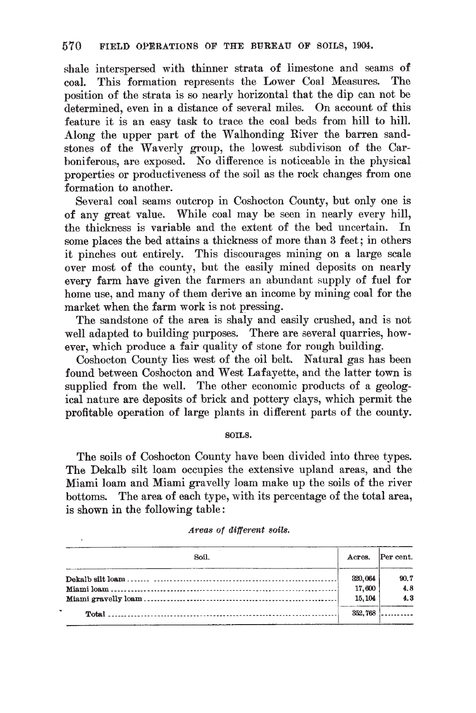shale interspersed with thinner strata of limestone and seams of coal. This formation represents the Lower Coal Measures. The position of the strata is so nearly horizontal that the dip can not be determined, even in a distance of several miles. On account of this feature it is an easy task to trace the coal beds from hill to hill. Along the upper part of the Walhonding River the barren sandstones of the Waverly group, the lowest subdivison of the Carboniferous, are exposed. No difference is noticeable in the physical properties or productiveness of the soil as the rock changes from one formation to another.

Several coal seams outcrop in Coshocton County, but only one is of any great value. While coal may be seen in nearly every hill, the thickness is variable and the extent of the bed uncertain. In some places the bed attains a thickness of more than 3 feet; in others it pinches out entirely. This discourages mining on a large scale over most of the county, but the easily mined deposits on nearly every farm have given the farmers an abundant supply of fuel for home use, and many of them derive an income by mining coal for the market when the farm work is not pressing.

The sandstone of the area is shaly and easily crushed, and is not well adapted to building purposes. There are several quarries, however, which produce a fair quality of stone for rough building.

Coshocton County lies west of the oil belt. Natural gas has been found between Coshocton and West Lafayette, and the latter town is supplied from the well. The other economic products of a geological nature are deposits of brick and pottery clays, which permit the profitable operation of large plants in different parts of the county.

#### SOILS.

The soils of Coshocton County have been divided into three types. The Dekalb silt loam occupies the extensive upland areas, and the Miami loam and Miami gravelly loam make up the soils of the river bottoms. The area of each type, with its percentage of the total area, is shown in the following table:

| Soil. | Acres.  | Per cent. |
|-------|---------|-----------|
|       | 320,064 | 90.7      |
|       | 17,600  | 4.8       |
|       | 15, 104 | 4.3       |
|       | 352,768 |           |

#### Areas of different soils.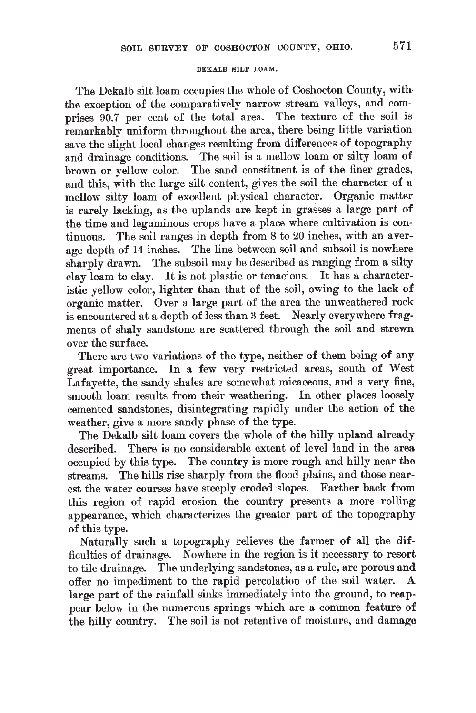#### DEKALB SILT LOAM.

The Dekalb silt loam occupies the whole of Coshocton County, with the exception of the comparatively narrow stream valleys, and comprises 90.7 per cent of the total area. The texture of the soil is remarkably uniform throughout the area, there being little variation save the slight local changes resulting from differences of topography and drainage conditions. The soil is a mellow loam or silty loam of brown or vellow color. The sand constituent is of the finer grades, and this, with the large silt content, gives the soil the character of a mellow silty loam of excellent physical character. Organic matter is rarely lacking, as the uplands are kept in grasses a large part of the time and leguminous crops have a place where cultivation is continuous. The soil ranges in depth from 8 to 20 inches, with an average depth of 14 inches. The line between soil and subsoil is nowhere sharply drawn. The subsoil may be described as ranging from a silty clay loam to clay. It is not plastic or tenacious. It has a characteristic vellow color, lighter than that of the soil, owing to the lack of organic matter. Over a large part of the area the unweathered rock is encountered at a depth of less than 3 feet. Nearly everywhere fragments of shaly sandstone are scattered through the soil and strewn over the surface.

There are two variations of the type, neither of them being of any great importance. In a few very restricted areas, south of West Lafavette, the sandy shales are somewhat micaceous, and a very fine, smooth loam results from their weathering. In other places loosely cemented sandstones, disintegrating rapidly under the action of the weather, give a more sandy phase of the type.

The Dekalb silt loam covers the whole of the hilly upland already described. There is no considerable extent of level land in the area occupied by this type. The country is more rough and hilly near the streams. The hills rise sharply from the flood plains, and those nearest the water courses have steeply eroded slopes. Farther back from this region of rapid erosion the country presents a more rolling appearance, which characterizes the greater part of the topography of this type.

Naturally such a topography relieves the farmer of all the difficulties of drainage. Nowhere in the region is it necessary to resort to tile drainage. The underlying sandstones, as a rule, are porous and offer no impediment to the rapid percolation of the soil water. A large part of the rainfall sinks immediately into the ground, to reappear below in the numerous springs which are a common feature of the hilly country. The soil is not retentive of moisture, and damage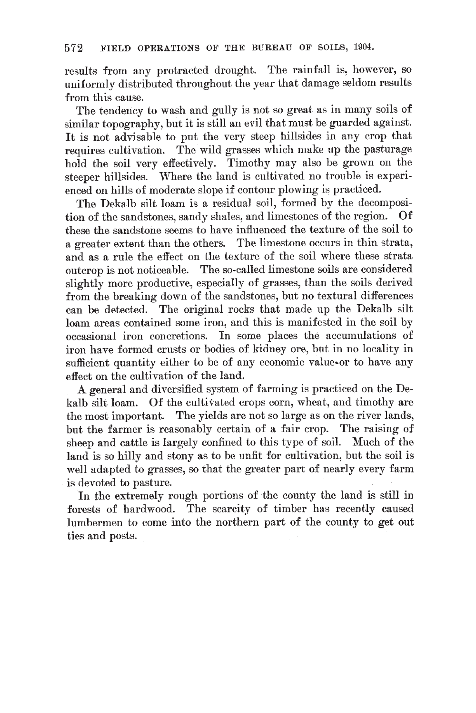results from any protracted drought. The rainfall is, however, so uniformly distributed throughout the year that damage seldom results from this cause.

The tendency to wash and gully is not so great as in many soils of similar topography, but it is still an evil that must be guarded against. It is not advisable to put the very steep hillsides in any crop that requires cultivation. The wild grasses which make up the pasturage hold the soil very effectively. Timothy may also be grown on the steeper hillsides. Where the land is cultivated no trouble is experienced on hills of moderate slope if contour plowing is practiced.

The Dekalb silt loam is a residual soil, formed by the decomposition of the sandstones, sandy shales, and limestones of the region. Of these the sandstone seems to have influenced the texture of the soil to a greater extent than the others. The limestone occurs in thin strata, and as a rule the effect on the texture of the soil where these strata outcrop is not noticeable. The so-called limestone soils are considered slightly more productive, especially of grasses, than the soils derived from the breaking down of the sandstones, but no textural differences can be detected. The original rocks that made up the Dekalb silt loam areas contained some iron, and this is manifested in the soil by occasional iron concretions. In some places the accumulations of iron have formed crusts or bodies of kidney ore, but in no locality in sufficient quantity either to be of any economic value-or to have any effect on the cultivation of the land.

A general and diversified system of farming is practiced on the Dekalb silt loam. Of the cultivated crops corn, wheat, and timothy are the most important. The yields are not so large as on the river lands, but the farmer is reasonably certain of a fair crop. The raising of sheep and cattle is largely confined to this type of soil. Much of the land is so hilly and stony as to be unfit for cultivation, but the soil is well adapted to grasses, so that the greater part of nearly every farm is devoted to pasture.

In the extremely rough portions of the county the land is still in forests of hardwood. The scarcity of timber has recently caused lumbermen to come into the northern part of the county to get out ties and posts.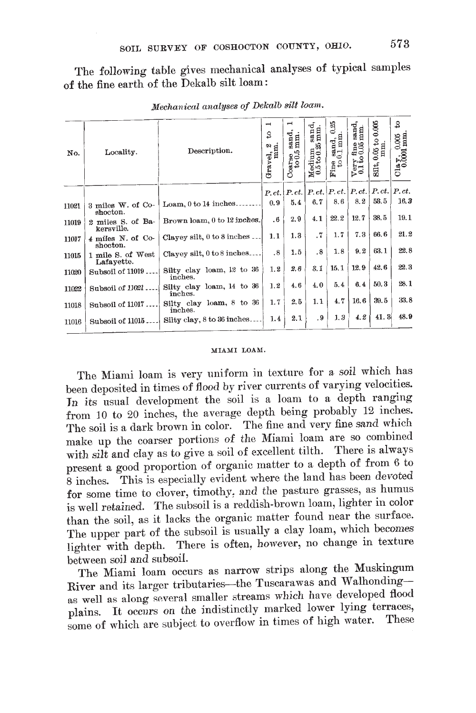The following table gives mechanical analyses of typical samples of the fine earth of the Dekalb silt loam:

| No.   | Locality.                       | Description.                         | $\overline{\phantom{0}}$<br>ន<br>Gravel, 2 | $_{\rm mm}^{\rm sand}$<br>$\frac{1}{6}$ | ರ<br>a sand<br>25 mm.<br>$M$ edium<br>$0.5 to 0.2$ | 0.25<br>$\frac{1}{2}$ and, $\frac{1}{2}$<br>$\mathop{\rm \mathbf{Fine}\,}_{\mathop{\rm \mathbf{to}}\nolimits}$ | $_{\rm mm}^{\rm sand}$<br>$\frac{6}{3}$<br>$\frac{\text{V} \text{ery}}{0.1 \text{ to}}$ | 0.005<br>$\mathfrak{p}$<br>$\frac{0.05 \text{ ft}}{\text{mm}}$<br>Silt, | S<br>$\frac{C \log y}{0.0001 \text{ mm}}$ |
|-------|---------------------------------|--------------------------------------|--------------------------------------------|-----------------------------------------|----------------------------------------------------|----------------------------------------------------------------------------------------------------------------|-----------------------------------------------------------------------------------------|-------------------------------------------------------------------------|-------------------------------------------|
|       |                                 |                                      |                                            |                                         |                                                    |                                                                                                                |                                                                                         | $P, ct.   P. ct.   P. ct.   P. ct.   P. ct.   P. ct.   P. ct.$          |                                           |
| 11021 | 3 miles W. of Co-<br>shocton.   | Loam, $0$ to $14$ inches.            | 0.9                                        | 5.4                                     | 6.7                                                | 8.6                                                                                                            | 8.2                                                                                     | 53.5                                                                    | 16.3                                      |
| 11019 | 2 miles S. of Ba-<br>kersville. | Brown loam, 0 to 12 inches.          | $.6\,$                                     | 2.9                                     | 4.1                                                | 22.2                                                                                                           | 12.7                                                                                    | 38.5                                                                    | 19.1                                      |
| 11017 | 4 miles N. of Co-<br>shocton.   | Clayey silt, $0$ to $8$ inches       | 1.1                                        | 1.3                                     | .7                                                 | 1.7                                                                                                            | 7.3                                                                                     | 66.6                                                                    | 21.2                                      |
| 11015 | 1 mile S. of West<br>Lafayette. | Clayey silt, 0 to 8 inches           | .8                                         | 1.5                                     | .8                                                 | 1.8                                                                                                            | 9.2                                                                                     | 63.1                                                                    | 22.8                                      |
| 11020 | Subsoil of 11019                | Silty clay loam, 12 to 36<br>inches. | 1.2                                        | 2.6                                     | 3.1                                                | 15.1                                                                                                           | 12.9                                                                                    | 42.6                                                                    | 22.3                                      |
| 11022 | Subsoil of 11021                | Silty clay loam, 14 to 36<br>inches. | 1.2                                        | 4.6                                     | 4.0                                                | 5.4                                                                                                            | 6.4                                                                                     | 50.3                                                                    | 28.1                                      |
| 11018 | Subsoil of 11017                | Silty clay loam, 8 to 36<br>inches.  | 1.7                                        | 2.5                                     | 1.1                                                | 4.7                                                                                                            | 16.6                                                                                    | 39.5                                                                    | 33.8                                      |
| 11016 | Subsoil of 11015.               | Silty clay, 8 to 36 inches           | 1.4                                        | 2.1                                     | . 9                                                | 1.3                                                                                                            | 4.2                                                                                     | 41.3                                                                    | 48.9                                      |
|       |                                 |                                      |                                            |                                         |                                                    |                                                                                                                |                                                                                         |                                                                         |                                           |

Mechanical analyses of Dekalb silt loam.

#### MIAMI LOAM.

The Miami loam is very uniform in texture for a soil which has been deposited in times of flood by river currents of varying velocities. In its usual development the soil is a loam to a depth ranging from 10 to 20 inches, the average depth being probably 12 inches. The soil is a dark brown in color. The fine and very fine sand which make up the coarser portions of the Miami loam are so combined with silt and clay as to give a soil of excellent tilth. There is always present a good proportion of organic matter to a depth of from 6 to 8 inches. This is especially evident where the land has been devoted for some time to clover, timothy, and the pasture grasses, as humus is well retained. The subsoil is a reddish-brown loam, lighter in color than the soil, as it lacks the organic matter found near the surface. The upper part of the subsoil is usually a clay loam, which becomes lighter with depth. There is often, however, no change in texture between soil and subsoil.

The Miami loam occurs as narrow strips along the Muskingum River and its larger tributaries-the Tuscarawas and Walhondingas well as along several smaller streams which have developed flood plains. It occurs on the indistinctly marked lower lying terraces, some of which are subject to overflow in times of high water. These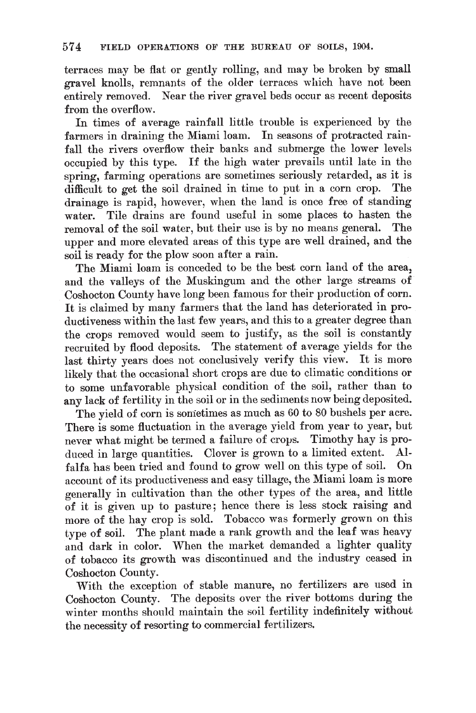terraces may be flat or gently rolling, and may be broken by small gravel knolls, remnants of the older terraces which have not been entirely removed. Near the river gravel beds occur as recent deposits from the overflow.

In times of average rainfall little trouble is experienced by the farmers in draining the Miami loam. In seasons of protracted rainfall the rivers overflow their banks and submerge the lower levels occupied by this type. If the high water prevails until late in the spring, farming operations are sometimes seriously retarded, as it is difficult to get the soil drained in time to put in a corn crop. The drainage is rapid, however, when the land is once free of standing water. Tile drains are found useful in some places to hasten the removal of the soil water, but their use is by no means general. The upper and more elevated areas of this type are well drained, and the soil is ready for the plow soon after a rain.

The Miami loam is conceded to be the best corn land of the area, and the valleys of the Muskingum and the other large streams of Coshocton County have long been famous for their production of corn. It is claimed by many farmers that the land has deteriorated in productiveness within the last few years, and this to a greater degree than the crops removed would seem to justify, as the soil is constantly recruited by flood deposits. The statement of average yields for the last thirty years does not conclusively verify this view. It is more likely that the occasional short crops are due to climatic conditions or to some unfavorable physical condition of the soil, rather than to any lack of fertility in the soil or in the sediments now being deposited.

The yield of corn is sometimes as much as 60 to 80 bushels per acre. There is some fluctuation in the average yield from year to year, but never what might be termed a failure of crops. Timothy hay is produced in large quantities. Clover is grown to a limited extent. Alfalfa has been tried and found to grow well on this type of soil. On account of its productiveness and easy tillage, the Miami loam is more generally in cultivation than the other types of the area, and little of it is given up to pasture; hence there is less stock raising and more of the hay crop is sold. Tobacco was formerly grown on this type of soil. The plant made a rank growth and the leaf was heavy and dark in color. When the market demanded a lighter quality of tobacco its growth was discontinued and the industry ceased in Coshocton County.

With the exception of stable manure, no fertilizers are used in Coshocton County. The deposits over the river bottoms during the winter months should maintain the soil fertility indefinitely without the necessity of resorting to commercial fertilizers.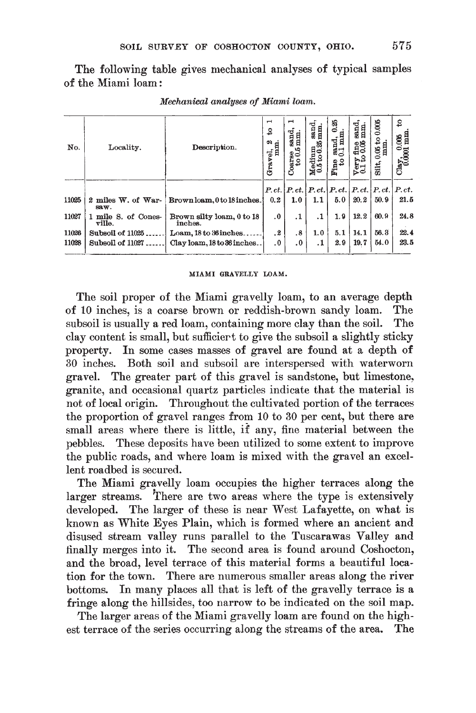The following table gives mechanical analyses of typical samples of the Miami loam:

| No.   | Locality.                     | Description.                         | $\mathbf \tau$<br>₽<br>Gravel, 2 | $\mathbf -$<br>sand.<br>mm.<br>مد<br>$\frac{10}{6}$ | $_{\rm mm.}^{\rm sand}$<br>$\begin{array}{c}\n\textbf{M}\text{edium} \\ 0.5 \text{ to } 0.25\n\end{array}$ | 0.35<br>$\sum_{0.1}^{\text{send}}$<br>$F_{100}$    | sand<br>mm.<br>$\frac{100}{0.05}$<br>$\frac{\text{Very}}{\text{0.1}}$ | 0.006<br>₽<br>$0.05$ to<br>man.<br>Silt, | 2<br>$\frac{\text{Clay}}{0.0001}$ mm |
|-------|-------------------------------|--------------------------------------|----------------------------------|-----------------------------------------------------|------------------------------------------------------------------------------------------------------------|----------------------------------------------------|-----------------------------------------------------------------------|------------------------------------------|--------------------------------------|
|       |                               |                                      |                                  |                                                     |                                                                                                            | $P, ct,  P, ct,  P, ct,  P, ct,  P, ct,  P, ct,  $ |                                                                       |                                          | P.ct.                                |
| 11025 | 2 miles W. of War-<br>saw.    | Brownloam, 0 to 18 inches.           | 0.2                              | 1.0 <sub>1</sub>                                    | 1.1                                                                                                        | 5.0                                                | 20.2                                                                  | 50.9                                     | 21.5                                 |
| 11027 | 1 mile S. of Cones-<br>ville. | Brown silty loam, 0 to 18<br>inches. | $\overline{0}$                   | $\cdot^1$                                           | $\cdot$ 1                                                                                                  | 1.9                                                | 12.2                                                                  | 60.9                                     | 24.8                                 |
| 11026 | Subsoil of 11025              | Loam, 18 to 36 inches.               | $\cdot^2$                        | .8                                                  | 1.0                                                                                                        | 5.1                                                | 14.1                                                                  | 56.3                                     | 22.4                                 |
| 11028 | Subsoil of 11027              | Clay loam, 18 to 36 inches.          | $\cdot$                          | $\cdot$                                             | . 1                                                                                                        | 2.9                                                | 19.7                                                                  | 54.0                                     | 23.5                                 |

Mechanical analyses of Miami loam.

#### MIAMI GRAVELLY LOAM.

The soil proper of the Miami gravelly loam, to an average depth of 10 inches, is a coarse brown or reddish-brown sandy loam. The subsoil is usually a red loam, containing more clay than the soil. The clay content is small, but sufficient to give the subsoil a slightly sticky property. In some cases masses of gravel are found at a depth of 30 inches. Both soil and subsoil are interspersed with waterworn gravel. The greater part of this gravel is sandstone, but limestone, granite, and occasional quartz particles indicate that the material is not of local origin. Throughout the cultivated portion of the terraces the proportion of gravel ranges from 10 to 30 per cent, but there are small areas where there is little, if any, fine material between the pebbles. These deposits have been utilized to some extent to improve the public roads, and where loam is mixed with the gravel an excellent roadbed is secured.

The Miami gravelly loam occupies the higher terraces along the larger streams. There are two areas where the type is extensively developed. The larger of these is near West Lafayette, on what is known as White Eyes Plain, which is formed where an ancient and disused stream valley runs parallel to the Tuscarawas Valley and finally merges into it. The second area is found around Coshocton, and the broad, level terrace of this material forms a beautiful location for the town. There are numerous smaller areas along the river bottoms. In many places all that is left of the gravelly terrace is a fringe along the hillsides, too narrow to be indicated on the soil map.

The larger areas of the Miami gravelly loam are found on the highest terrace of the series occurring along the streams of the area. The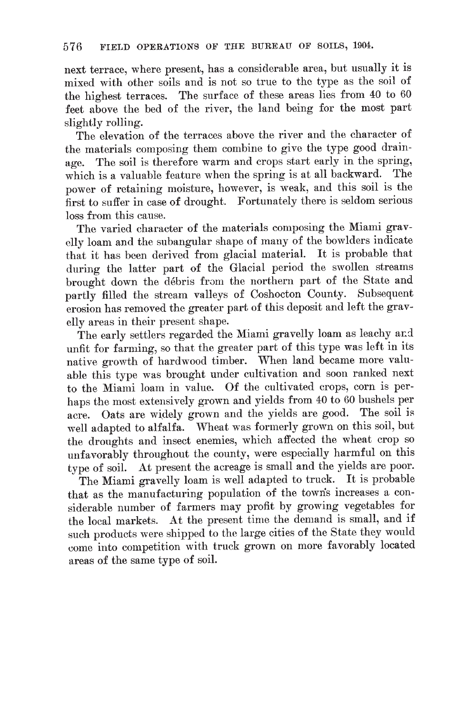next terrace, where present, has a considerable area, but usually it is mixed with other soils and is not so true to the type as the soil of the highest terraces. The surface of these areas lies from 40 to 60 feet above the bed of the river, the land being for the most part slightly rolling.

The elevation of the terraces above the river and the character of the materials composing them combine to give the type good drainage. The soil is therefore warm and crops start early in the spring, which is a valuable feature when the spring is at all backward. The power of retaining moisture, however, is weak, and this soil is the first to suffer in case of drought. Fortunately there is seldom serious loss from this cause.

The varied character of the materials composing the Miami gravelly loam and the subangular shape of many of the bowlders indicate that it has been derived from glacial material. It is probable that during the latter part of the Glacial period the swollen streams brought down the débris from the northern part of the State and partly filled the stream valleys of Coshocton County. Subsequent erosion has removed the greater part of this deposit and left the gravelly areas in their present shape.

The early settlers regarded the Miami gravelly loam as leachy and unfit for farming, so that the greater part of this type was left in its native growth of hardwood timber. When land became more valuable this type was brought under cultivation and soon ranked next to the Miami loam in value. Of the cultivated crops, corn is perhaps the most extensively grown and yields from 40 to 60 bushels per acre. Oats are widely grown and the yields are good. The soil is well adapted to alfalfa. Wheat was formerly grown on this soil, but the droughts and insect enemies, which affected the wheat crop so unfavorably throughout the county, were especially harmful on this type of soil. At present the acreage is small and the yields are poor.

The Miami gravelly loam is well adapted to truck. It is probable that as the manufacturing population of the towns increases a considerable number of farmers may profit by growing vegetables for the local markets. At the present time the demand is small, and if such products were shipped to the large cities of the State they would come into competition with truck grown on more favorably located areas of the same type of soil.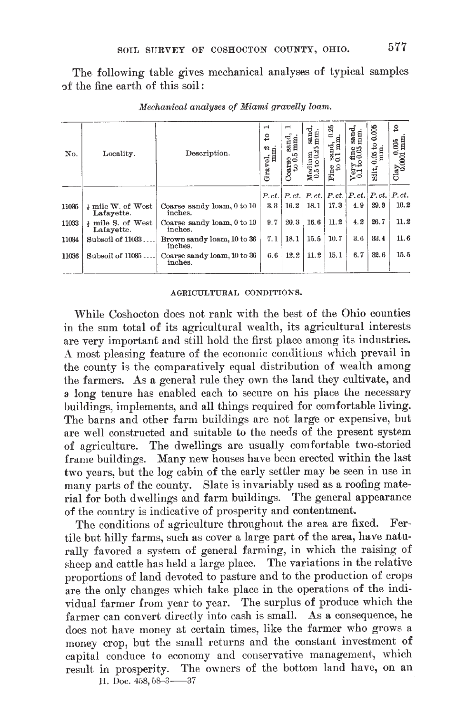The following table gives mechanical analyses of typical samples of the fine earth of this soil:

| No.   | Locality.                                   | Description.                           | $\blacksquare$<br>S<br>Gravel, 2 | $\blacksquare$<br>sand.<br>mm<br>۱Ģ<br>$\frac{\text{Conrse}}{\text{to }0.1}$ | $_{mm.}$<br>${\bf Medim} \atop {\bf 0.5\,to\,0.25}$ | 器<br>ءِ<br>$_{0.1\,\mathrm{m}}^{3,\mathrm{md}}$<br>$\frac{1}{2}$ from | sand,<br>mm.<br>fine<br>0.05<br>$\frac{\text{V} \text{e} \text{r} \text{y}}{0.1 \text{ to}}$ | 0.005<br>3<br>$\frac{0.05 \text{ to}}{\text{mm}}$<br>siit, | S<br>$\frac{\text{Clay}}{0.0001 \text{ mm}}$ |
|-------|---------------------------------------------|----------------------------------------|----------------------------------|------------------------------------------------------------------------------|-----------------------------------------------------|-----------------------------------------------------------------------|----------------------------------------------------------------------------------------------|------------------------------------------------------------|----------------------------------------------|
|       |                                             |                                        | P.ct.                            |                                                                              | P, ct,  P, ct.                                      |                                                                       | $P, ct. \,   P, ct. \,   P, ct.$                                                             |                                                            | P.ct.                                        |
| 11035 | $\frac{1}{2}$ mile W. of West<br>Lafayette. | Coarse sandy loam, 0 to 10<br>inches.  | 3.3                              | 16.2                                                                         | 18.1                                                | 17.3                                                                  | 4.9                                                                                          | 29.9                                                       | 10.2                                         |
| 11033 | # mile S. of West<br>Lafayette.             | Coarse sandy loam, 0 to 10<br>inches.  | 9.7                              | 20.3                                                                         | 16.6                                                | 11.2                                                                  | 4.2                                                                                          | 26.7                                                       | 11.2                                         |
| 11034 | Subsoil of 11033.                           | Brown sandy loam, 10 to 36<br>inches.  | 7.1                              | 18.1                                                                         | 15.5                                                | 10.7                                                                  | 3,6                                                                                          | 33.4                                                       | 11.6                                         |
| 11036 | Subsoil of 11035.                           | Coarse sandy loam, 10 to 36<br>inches. | 6.6                              | 12.2                                                                         | 11.2                                                | 15.1                                                                  | 6.7                                                                                          | 32.6                                                       | 15.5                                         |

Mechanical analyses of Miami gravelly loam.

#### AGRICULTURAL CONDITIONS.

While Coshocton does not rank with the best of the Ohio counties in the sum total of its agricultural wealth, its agricultural interests are very important and still hold the first place among its industries. A most pleasing feature of the economic conditions which prevail in the county is the comparatively equal distribution of wealth among the farmers. As a general rule they own the land they cultivate, and a long tenure has enabled each to secure on his place the necessary buildings, implements, and all things required for comfortable living. The barns and other farm buildings are not large or expensive, but are well constructed and suitable to the needs of the present system of agriculture. The dwellings are usually comfortable two-storied frame buildings. Many new houses have been erected within the last two vears, but the log cabin of the early settler may be seen in use in many parts of the county. Slate is invariably used as a roofing material for both dwellings and farm buildings. The general appearance of the country is indicative of prosperity and contentment.

The conditions of agriculture throughout the area are fixed. Fertile but hilly farms, such as cover a large part of the area, have naturally favored a system of general farming, in which the raising of sheep and cattle has held a large place. The variations in the relative proportions of land devoted to pasture and to the production of crops are the only changes which take place in the operations of the individual farmer from year to year. The surplus of produce which the farmer can convert directly into cash is small. As a consequence, he does not have money at certain times, like the farmer who grows a money crop, but the small returns and the constant investment of capital conduce to economy and conservative management, which result in prosperity. The owners of the bottom land have, on an H. Doc. 458, 58-3-37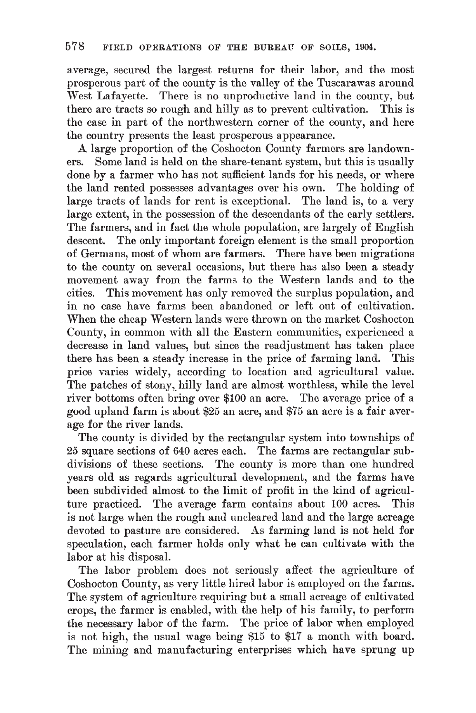average, secured the largest returns for their labor, and the most prosperous part of the county is the valley of the Tuscarawas around West Lafayette. There is no unproductive land in the county, but there are tracts so rough and hilly as to prevent cultivation. This is the case in part of the northwestern corner of the county, and here the country presents the least prosperous appearance.

A large proportion of the Coshocton County farmers are landowners. Some land is held on the share-tenant system, but this is usually done by a farmer who has not sufficient lands for his needs, or where the land rented possesses advantages over his own. The holding of large tracts of lands for rent is exceptional. The land is, to a very large extent, in the possession of the descendants of the early settlers. The farmers, and in fact the whole population, are largely of English descent. The only important foreign element is the small proportion of Germans, most of whom are farmers. There have been migrations to the county on several occasions, but there has also been a steady movement away from the farms to the Western lands and to the cities. This movement has only removed the surplus population, and in no case have farms been abandoned or left out of cultivation. When the cheap Western lands were thrown on the market Coshocton County, in common with all the Eastern communities, experienced a decrease in land values, but since the readjustment has taken place there has been a steady increase in the price of farming land. This price varies widely, according to location and agricultural value. The patches of stony, hilly land are almost worthless, while the level river bottoms often bring over \$100 an acre. The average price of a good upland farm is about \$25 an acre, and \$75 an acre is a fair average for the river lands.

The county is divided by the rectangular system into townships of 25 square sections of 640 acres each. The farms are rectangular subdivisions of these sections. The county is more than one hundred years old as regards agricultural development, and the farms have been subdivided almost to the limit of profit in the kind of agriculture practiced. The average farm contains about 100 acres. This is not large when the rough and uncleared land and the large acreage devoted to pasture are considered. As farming land is not held for speculation, each farmer holds only what he can cultivate with the labor at his disposal.

The labor problem does not seriously affect the agriculture of Coshocton County, as very little hired labor is employed on the farms. The system of agriculture requiring but a small acreage of cultivated crops, the farmer is enabled, with the help of his family, to perform the necessary labor of the farm. The price of labor when employed is not high, the usual wage being \$15 to \$17 a month with board. The mining and manufacturing enterprises which have sprung up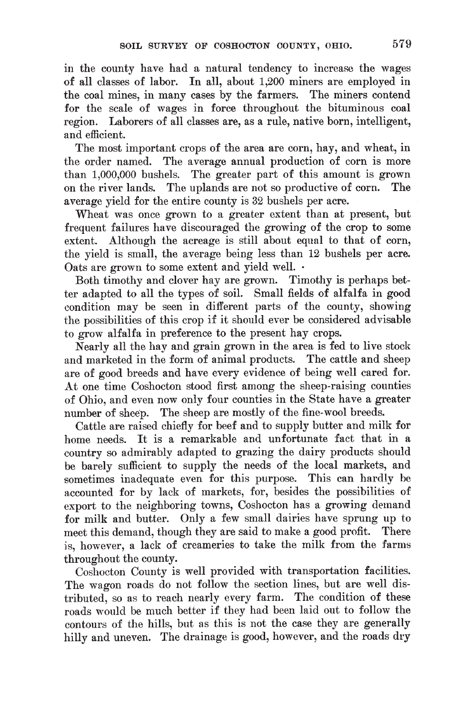in the county have had a natural tendency to increase the wages of all classes of labor. In all, about 1,200 miners are employed in the coal mines, in many cases by the farmers. The miners contend for the scale of wages in force throughout the bituminous coal region. Laborers of all classes are, as a rule, native born, intelligent, and efficient.

The most important crops of the area are corn, hay, and wheat, in the order named. The average annual production of corn is more than 1,000,000 bushels. The greater part of this amount is grown on the river lands. The uplands are not so productive of corn. The average yield for the entire county is 32 bushels per acre.

Wheat was once grown to a greater extent than at present, but frequent failures have discouraged the growing of the crop to some extent. Although the acreage is still about equal to that of corn, the yield is small, the average being less than 12 bushels per acre. Oats are grown to some extent and yield well. .

Both timothy and clover hay are grown. Timothy is perhaps better adapted to all the types of soil. Small fields of alfalfa in good condition may be seen in different parts of the county, showing the possibilities of this crop if it should ever be considered advisable to grow alfalfa in preference to the present hay crops.

Nearly all the hay and grain grown in the area is fed to live stock and marketed in the form of animal products. The cattle and sheep are of good breeds and have every evidence of being well cared for. At one time Coshocton stood first among the sheep-raising counties of Ohio, and even now only four counties in the State have a greater number of sheep. The sheep are mostly of the fine-wool breeds.

Cattle are raised chiefly for beef and to supply butter and milk for home needs. It is a remarkable and unfortunate fact that in a country so admirably adapted to grazing the dairy products should be barely sufficient to supply the needs of the local markets, and sometimes inadequate even for this purpose. This can hardly be accounted for by lack of markets, for, besides the possibilities of export to the neighboring towns, Coshocton has a growing demand for milk and butter. Only a few small dairies have sprung up to meet this demand, though they are said to make a good profit. There is, however, a lack of creameries to take the milk from the farms throughout the county.

Coshocton County is well provided with transportation facilities. The wagon roads do not follow the section lines, but are well distributed, so as to reach nearly every farm. The condition of these roads would be much better if they had been laid out to follow the contours of the hills, but as this is not the case they are generally hilly and uneven. The drainage is good, however, and the roads dry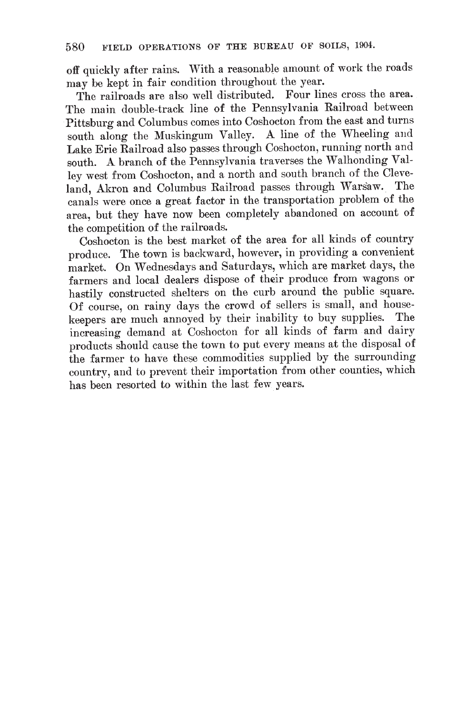off quickly after rains. With a reasonable amount of work the roads may be kept in fair condition throughout the year.

The railroads are also well distributed. Four lines cross the area. The main double-track line of the Pennsylvania Railroad between Pittsburg and Columbus comes into Coshocton from the east and turns south along the Muskingum Valley. A line of the Wheeling and Lake Erie Railroad also passes through Coshocton, running north and south. A branch of the Pennsylvania traverses the Walhonding Valley west from Coshocton, and a north and south branch of the Cleveland, Akron and Columbus Railroad passes through Warsaw. The canals were once a great factor in the transportation problem of the area, but they have now been completely abandoned on account of the competition of the railroads.

Coshocton is the best market of the area for all kinds of country produce. The town is backward, however, in providing a convenient market. On Wednesdays and Saturdays, which are market days, the farmers and local dealers dispose of their produce from wagons or hastily constructed shelters on the curb around the public square. Of course, on rainy days the crowd of sellers is small, and housekeepers are much annoyed by their inability to buy supplies. The increasing demand at Coshocton for all kinds of farm and dairy products should cause the town to put every means at the disposal of the farmer to have these commodities supplied by the surrounding country, and to prevent their importation from other counties, which has been resorted to within the last few years.